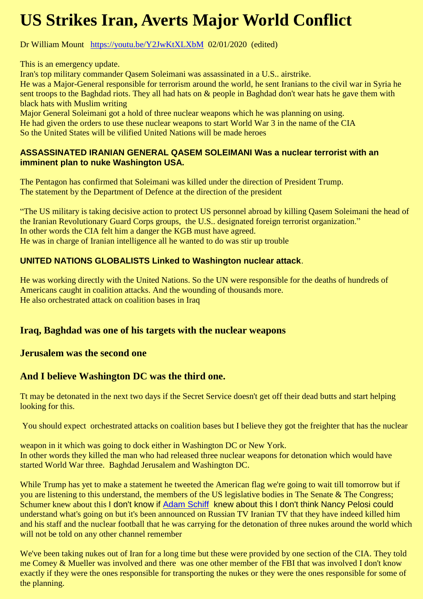# **US Strikes Iran, Averts Major World Conflict**

Dr William Mount <https://youtu.be/Y2JwKtXLXbM>02/01/2020 (edited)

This is an emergency update.

Iran's top military commander Qasem Soleimani was assassinated in a U.S.. airstrike.

He was a Major-General responsible for terrorism around the world, he sent Iranians to the civil war in Syria he sent troops to the Baghdad riots. They all had hats on & people in Baghdad don't wear hats he gave them with black hats with Muslim writing

Major General Soleimani got a hold of three nuclear weapons which he was planning on using. He had given the orders to use these nuclear weapons to start World War 3 in the name of the CIA So the United States will be vilified United Nations will be made heroes

#### **ASSASSINATED IRANIAN GENERAL QASEM SOLEIMANI Was a nuclear terrorist with an imminent plan to nuke Washington USA.**

The Pentagon has confirmed that Soleimani was killed under the direction of President Trump. The statement by the Department of Defence at the direction of the president

"The US military is taking decisive action to protect US personnel abroad by killing Qasem Soleimani the head of the Iranian Revolutionary Guard Corps groups, the U.S.. designated foreign terrorist organization." In other words the CIA felt him a danger the KGB must have agreed. He was in charge of Iranian intelligence all he wanted to do was stir up trouble

## **UNITED NATIONS GLOBALISTS Linked to Washington nuclear attack**.

He was working directly with the United Nations. So the UN were responsible for the deaths of hundreds of Americans caught in coalition attacks. And the wounding of thousands more. He also orchestrated attack on coalition bases in Iraq

## **Iraq, Baghdad was one of his targets with the nuclear weapons**

### **Jerusalem was the second one**

## **And I believe Washington DC was the third one.**

Tt may be detonated in the next two days if the Secret Service doesn't get off their dead butts and start helping looking for this.

You should expect orchestrated attacks on coalition bases but I believe they got the freighter that has the nuclear

weapon in it which was going to dock either in Washington DC or New York. In other words they killed the man who had released three nuclear weapons for detonation which would have started World War three. Baghdad Jerusalem and Washington DC.

While Trump has yet to make a statement he tweeted the American flag we're going to wait till tomorrow but if you are listening to this understand, the members of the US legislative bodies in The Senate & The Congress; Schumer knew about this I don't know if [Adam](https://www.youtube.com/results?search_query=%23AdamSchiff) Schiff knew about this I don't think Nancy Pelosi could understand what's going on but it's been announced on Russian TV Iranian TV that they have indeed killed him and his staff and the nuclear football that he was carrying for the detonation of three nukes around the world which will not be told on any other channel remember

We've been taking nukes out of Iran for a long time but these were provided by one section of the CIA. They told me Comey & Mueller was involved and there was one other member of the FBI that was involved I don't know exactly if they were the ones responsible for transporting the nukes or they were the ones responsible for some of the planning.